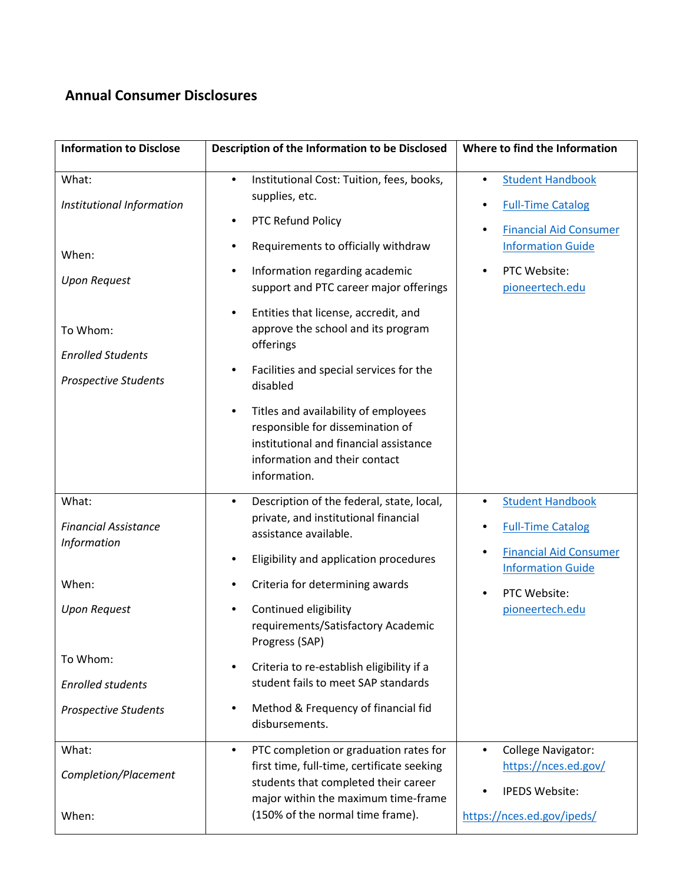## **Annual Consumer Disclosures**

| <b>Information to Disclose</b>                                                                                                                             | Description of the Information to be Disclosed                                                                                                                                                                                                                                                                                                                                                                                                                            | Where to find the Information                                                                                                                            |
|------------------------------------------------------------------------------------------------------------------------------------------------------------|---------------------------------------------------------------------------------------------------------------------------------------------------------------------------------------------------------------------------------------------------------------------------------------------------------------------------------------------------------------------------------------------------------------------------------------------------------------------------|----------------------------------------------------------------------------------------------------------------------------------------------------------|
| What:<br>Institutional Information<br>When:<br><b>Upon Request</b><br>To Whom:<br><b>Enrolled Students</b><br><b>Prospective Students</b>                  | Institutional Cost: Tuition, fees, books,<br>$\bullet$<br>supplies, etc.<br>PTC Refund Policy<br>Requirements to officially withdraw<br>٠<br>Information regarding academic<br>$\bullet$<br>support and PTC career major offerings<br>Entities that license, accredit, and<br>$\bullet$<br>approve the school and its program<br>offerings<br>Facilities and special services for the<br>$\bullet$<br>disabled                                                            | <b>Student Handbook</b><br>٠<br><b>Full-Time Catalog</b><br><b>Financial Aid Consumer</b><br><b>Information Guide</b><br>PTC Website:<br>pioneertech.edu |
|                                                                                                                                                            | Titles and availability of employees<br>$\bullet$<br>responsible for dissemination of<br>institutional and financial assistance<br>information and their contact<br>information.                                                                                                                                                                                                                                                                                          |                                                                                                                                                          |
| What:<br><b>Financial Assistance</b><br>Information<br>When:<br><b>Upon Request</b><br>To Whom:<br><b>Enrolled students</b><br><b>Prospective Students</b> | Description of the federal, state, local,<br>$\bullet$<br>private, and institutional financial<br>assistance available.<br>Eligibility and application procedures<br>$\bullet$<br>Criteria for determining awards<br>$\bullet$<br>Continued eligibility<br>$\bullet$<br>requirements/Satisfactory Academic<br>Progress (SAP)<br>Criteria to re-establish eligibility if a<br>student fails to meet SAP standards<br>Method & Frequency of financial fid<br>disbursements. | <b>Student Handbook</b><br>٠<br><b>Full-Time Catalog</b><br><b>Financial Aid Consumer</b><br><b>Information Guide</b><br>PTC Website:<br>pioneertech.edu |
| What:<br>Completion/Placement<br>When:                                                                                                                     | PTC completion or graduation rates for<br>$\bullet$<br>first time, full-time, certificate seeking<br>students that completed their career<br>major within the maximum time-frame<br>(150% of the normal time frame).                                                                                                                                                                                                                                                      | <b>College Navigator:</b><br>$\bullet$<br>https://nces.ed.gov/<br><b>IPEDS Website:</b><br>https://nces.ed.gov/ipeds/                                    |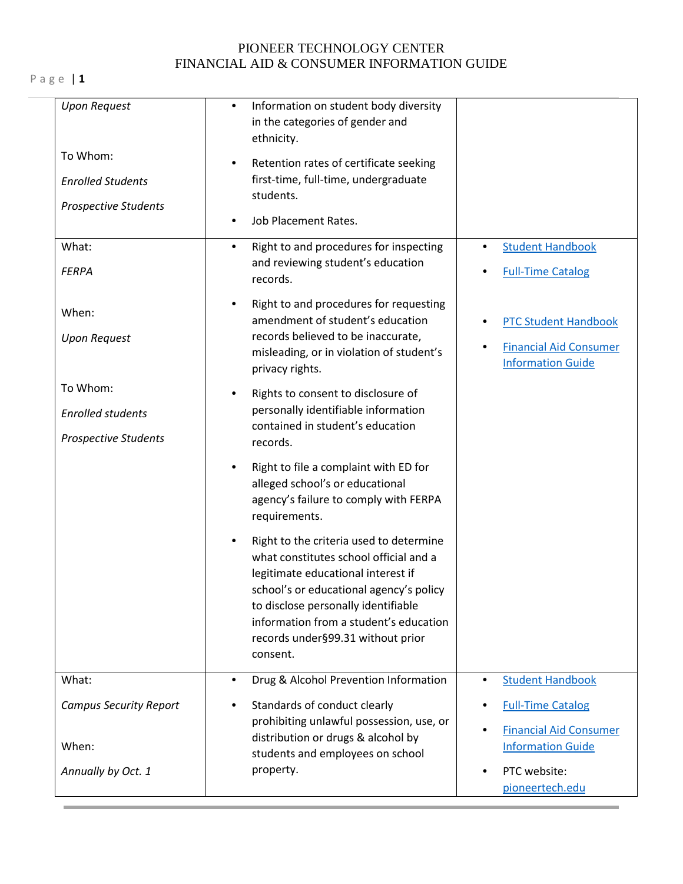## PIONEER TECHNOLOGY CENTER FINANCIAL AID & CONSUMER INFORMATION GUIDE

P a g e | **1**

| <b>Upon Request</b>                                                 | Information on student body diversity<br>٠<br>in the categories of gender and<br>ethnicity.                                                                                                                                                                                                           |                                                                                          |
|---------------------------------------------------------------------|-------------------------------------------------------------------------------------------------------------------------------------------------------------------------------------------------------------------------------------------------------------------------------------------------------|------------------------------------------------------------------------------------------|
| To Whom:<br><b>Enrolled Students</b><br><b>Prospective Students</b> | Retention rates of certificate seeking<br>$\bullet$<br>first-time, full-time, undergraduate<br>students.                                                                                                                                                                                              |                                                                                          |
|                                                                     | Job Placement Rates.                                                                                                                                                                                                                                                                                  |                                                                                          |
| What:<br><b>FERPA</b>                                               | Right to and procedures for inspecting<br>٠<br>and reviewing student's education<br>records.                                                                                                                                                                                                          | <b>Student Handbook</b><br><b>Full-Time Catalog</b>                                      |
| When:<br><b>Upon Request</b>                                        | Right to and procedures for requesting<br>$\bullet$<br>amendment of student's education<br>records believed to be inaccurate,<br>misleading, or in violation of student's<br>privacy rights.                                                                                                          | <b>PTC Student Handbook</b><br><b>Financial Aid Consumer</b><br><b>Information Guide</b> |
| To Whom:<br><b>Enrolled students</b><br><b>Prospective Students</b> | Rights to consent to disclosure of<br>٠<br>personally identifiable information<br>contained in student's education<br>records.                                                                                                                                                                        |                                                                                          |
|                                                                     | Right to file a complaint with ED for<br>٠<br>alleged school's or educational<br>agency's failure to comply with FERPA<br>requirements.                                                                                                                                                               |                                                                                          |
|                                                                     | Right to the criteria used to determine<br>what constitutes school official and a<br>legitimate educational interest if<br>school's or educational agency's policy<br>to disclose personally identifiable<br>information from a student's education<br>records under §99.31 without prior<br>consent. |                                                                                          |
| What:                                                               | Drug & Alcohol Prevention Information<br>$\bullet$                                                                                                                                                                                                                                                    | <b>Student Handbook</b><br>$\bullet$                                                     |
| <b>Campus Security Report</b>                                       | Standards of conduct clearly<br>$\bullet$<br>prohibiting unlawful possession, use, or                                                                                                                                                                                                                 | <b>Full-Time Catalog</b>                                                                 |
| When:                                                               | distribution or drugs & alcohol by<br>students and employees on school                                                                                                                                                                                                                                | <b>Financial Aid Consumer</b><br><b>Information Guide</b>                                |
| Annually by Oct. 1                                                  | property.                                                                                                                                                                                                                                                                                             | PTC website:<br>pioneertech.edu                                                          |